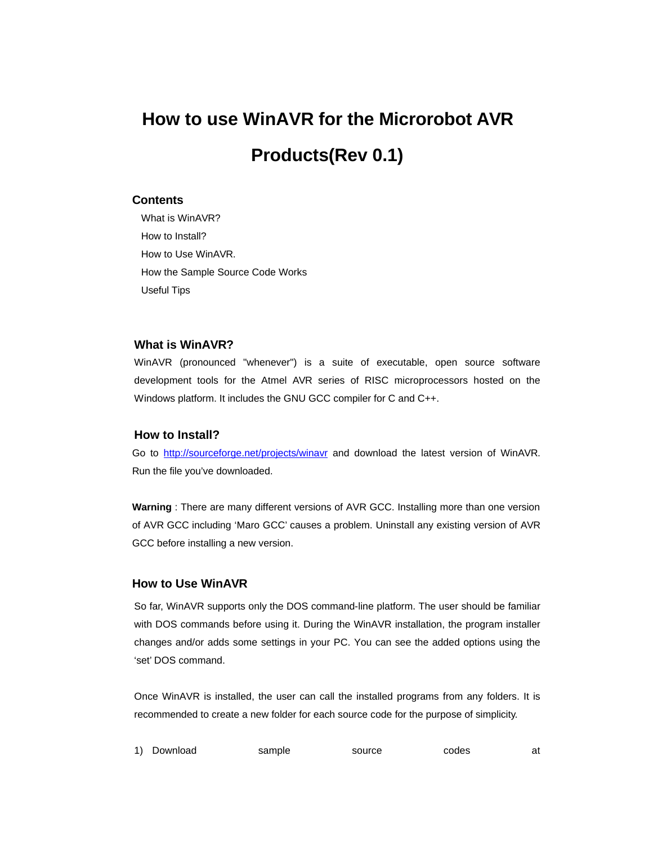# **How to use WinAVR for the Microrobot AVR Products(Rev 0.1)**

#### **Contents**

What is WinAVR? How to Install? How to Use WinAVR. How the Sample Source Code Works Useful Tips

#### **What is WinAVR?**

WinAVR (pronounced "whenever") is a suite of executable, open source software development tools for the Atmel AVR series of RISC microprocessors hosted on the Windows platform. It includes the GNU GCC compiler for C and C++.

## **How to Install?**

Go to http://sourceforge.net/projects/winavr and download the latest version of WinAVR. Run the file you've downloaded.

**Warning** : There are many different versions of AVR GCC. Installing more than one version of AVR GCC including 'Maro GCC' causes a problem. Uninstall any existing version of AVR GCC before installing a new version.

### **How to Use WinAVR**

So far, WinAVR supports only the DOS command-line platform. The user should be familiar with DOS commands before using it. During the WinAVR installation, the program installer changes and/or adds some settings in your PC. You can see the added options using the 'set' DOS command.

Once WinAVR is installed, the user can call the installed programs from any folders. It is recommended to create a new folder for each source code for the purpose of simplicity.

|  |  | 1) Download | sample | source | codes | at |
|--|--|-------------|--------|--------|-------|----|
|--|--|-------------|--------|--------|-------|----|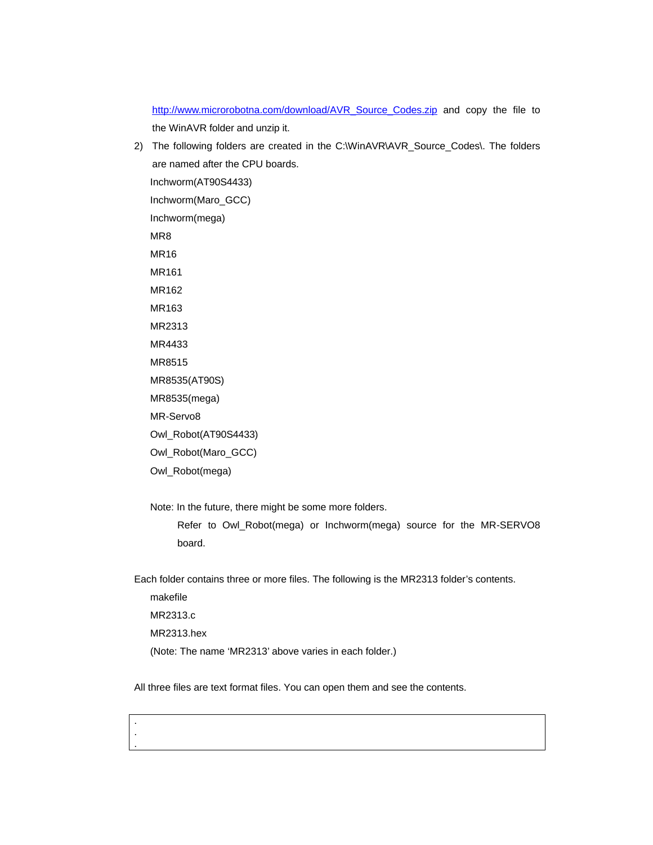http://www.microrobotna.com/download/AVR\_Source\_Codes.zip and copy the file to the WinAVR folder and unzip it.

2) The following folders are created in the C:\WinAVR\AVR\_Source\_Codes\. The folders are named after the CPU boards. Inchworm(AT90S4433) Inchworm(Maro\_GCC) Inchworm(mega) MR8 MR16 MR161 MR162 MR163 MR2313 MR4433 MR8515 MR8535(AT90S) MR8535(mega) MR-Servo8 Owl\_Robot(AT90S4433) Owl\_Robot(Maro\_GCC) Owl\_Robot(mega) Note: In the future, there might be some more folders.

Refer to Owl\_Robot(mega) or Inchworm(mega) source for the MR-SERVO8 board.

Each folder contains three or more files. The following is the MR2313 folder's contents.

makefile MR2313.c MR2313.hex (Note: The name 'MR2313' above varies in each folder.)

. . .

All three files are text format files. You can open them and see the contents.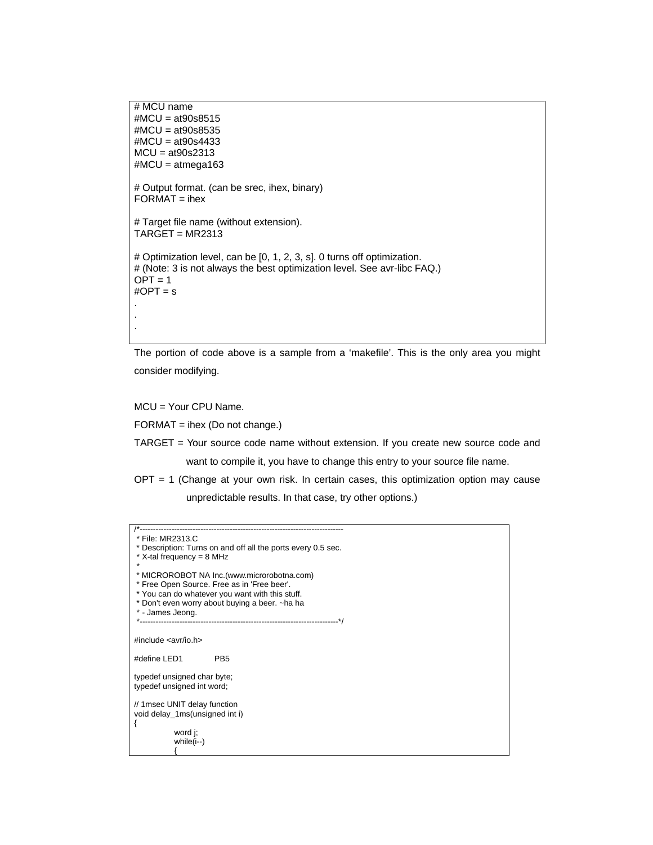```
# MCU name
#MCU = at90s8515
#MCU = at90s8535
#MCU = at90s4433
MCU = at90s2313
#MCU = atmega163
# Output format. (can be srec, ihex, binary)
FORMAT = <i>i</i>hex# Target file name (without extension).
TARGE = MR2313# Optimization level, can be [0, 1, 2, 3, s]. 0 turns off optimization.
# (Note: 3 is not always the best optimization level. See avr-libc FAQ.)
OPT = 1\#OPT = s.
.
.
```
The portion of code above is a sample from a 'makefile'. This is the only area you might consider modifying.

MCU = Your CPU Name.

FORMAT = ihex (Do not change.)

- TARGET = Your source code name without extension. If you create new source code and want to compile it, you have to change this entry to your source file name.
- OPT = 1 (Change at your own risk. In certain cases, this optimization option may cause unpredictable results. In that case, try other options.)

| File: MR2313.C                                               |
|--------------------------------------------------------------|
| * Description: Turns on and off all the ports every 0.5 sec. |
| * X-tal frequency = 8 MHz                                    |
|                                                              |
| * MICROROBOT NA Inc.(www.microrobotna.com)                   |
| * Free Open Source. Free as in 'Free beer'.                  |
| * You can do whatever you want with this stuff.              |
| * Don't even worry about buying a beer. ~ ha ha              |
| * - James Jeong.                                             |
|                                                              |
|                                                              |
| #include $\langle$ avr/io.h                                  |
|                                                              |
| #define LED1<br>PB <sub>5</sub>                              |
| typedef unsigned char byte;                                  |
| typedef unsigned int word;                                   |
|                                                              |
| // 1msec UNIT delay function                                 |
| void delay_1ms(unsigned int i)                               |
|                                                              |
| word i:                                                      |
| while $(i-)$                                                 |
|                                                              |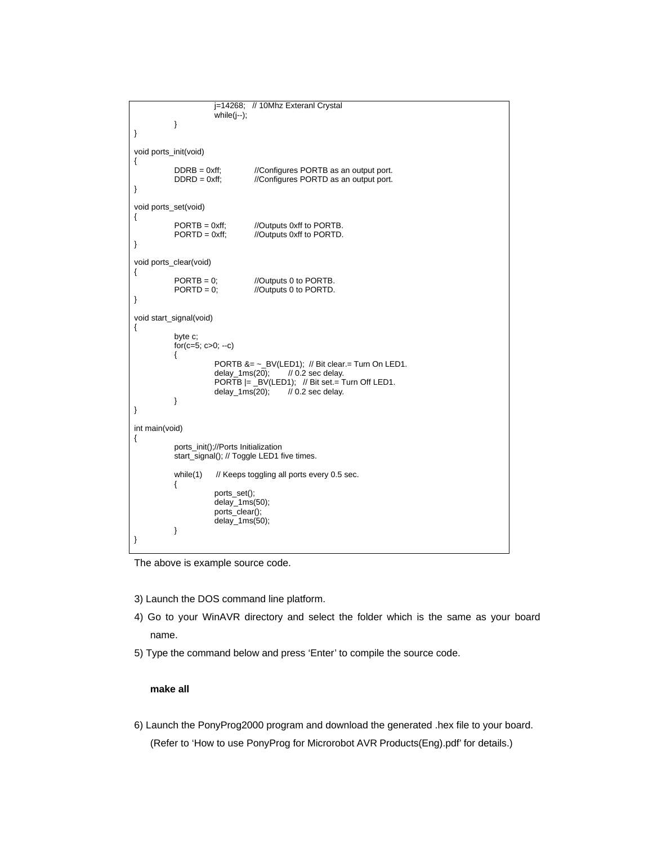```
j=14268; // 10Mhz Exteranl Crystal
                          while(j--);
            }
}
void ports_init(void)
{
             DDRB = 0xff; //Configures PORTB as an output port.<br>DDRD = 0xff; //Configures PORTD as an output port.
                                      //Configures PORTD as an output port.
}
void ports_set(void)
{
             PORTB = 0xff; //Outputs 0xff to PORTB.<br>PORTD = 0xff; //Outputs 0xff to PORTD.
                                      //Outputs 0xff to PORTD.
}
void ports_clear(void)
{
             PORTB = 0; //Outputs 0 to PORTB.<br>PORTD = 0; //Outputs 0 to PORTD.
                                      //Outputs 0 to PORTD.
}
void start_signal(void)
{
             byte c;
             for(c=5; c>0; --c)
             {
                          PORTB &= ~_BV(LED1); // Bit clear.= Turn On LED1.
                          delay_1ms(20); // 0.2 sec delay.
                          PORTB |= _BV(LED1); // Bit set.= Turn Off LED1.
                         delay_1ms(20); \frac{1}{10} 0.2 sec delay.
            }
}
int main(void)
{
             ports_init();//Ports Initialization
             start_signal(); // Toggle LED1 five times.
             while(1) \quad // Keeps toggling all ports every 0.5 sec.
             {
                         ports_set();
                         delay_1ms(50);
                         ports_clear();
                          delay_1ms(50);
            }
}
```
The above is example source code.

- 3) Launch the DOS command line platform.
- 4) Go to your WinAVR directory and select the folder which is the same as your board name.
- 5) Type the command below and press 'Enter' to compile the source code.

#### **make all**

6) Launch the PonyProg2000 program and download the generated .hex file to your board. (Refer to 'How to use PonyProg for Microrobot AVR Products(Eng).pdf' for details.)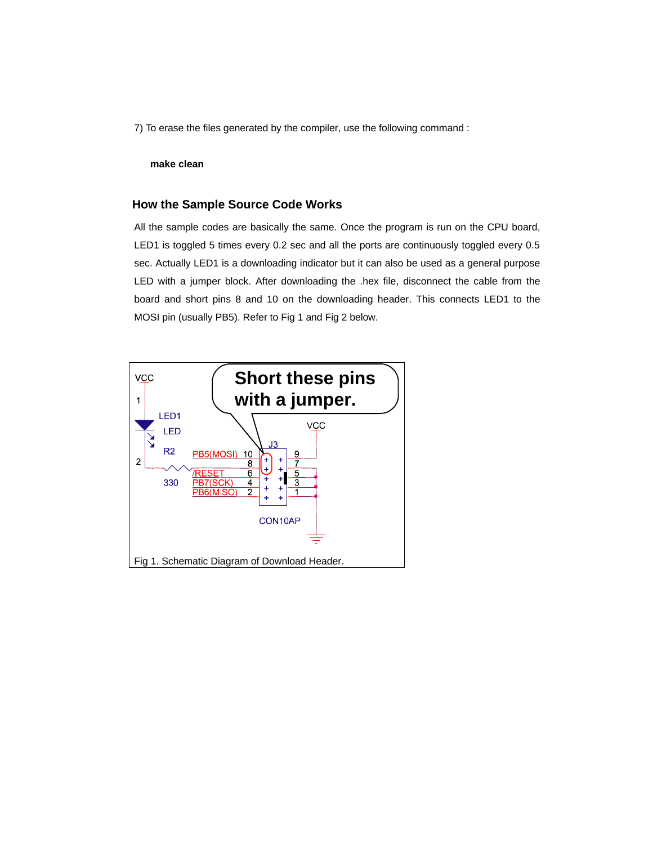7) To erase the files generated by the compiler, use the following command :

#### **make clean**

#### **How the Sample Source Code Works**

All the sample codes are basically the same. Once the program is run on the CPU board, LED1 is toggled 5 times every 0.2 sec and all the ports are continuously toggled every 0.5 sec. Actually LED1 is a downloading indicator but it can also be used as a general purpose LED with a jumper block. After downloading the .hex file, disconnect the cable from the board and short pins 8 and 10 on the downloading header. This connects LED1 to the MOSI pin (usually PB5). Refer to Fig 1 and Fig 2 below.